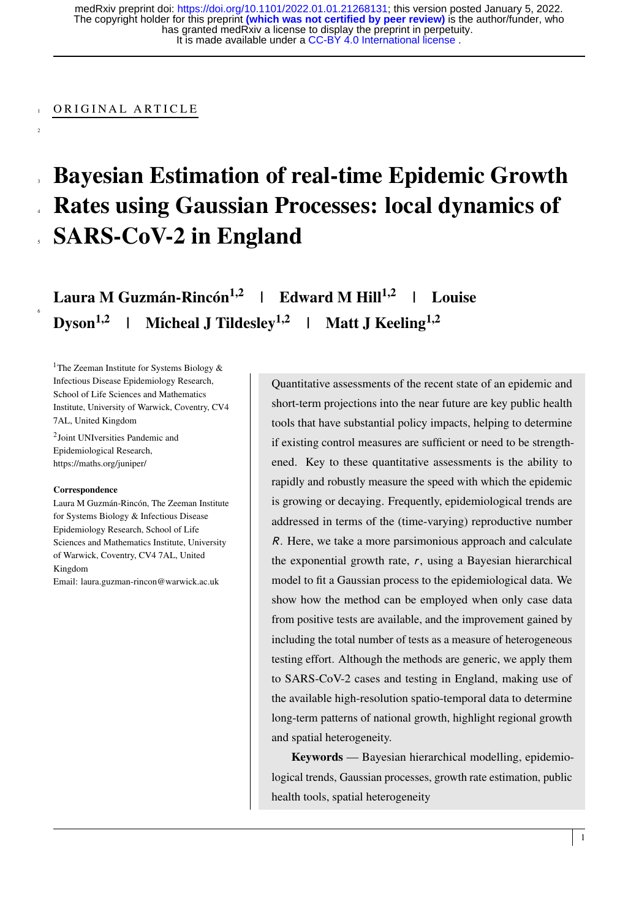It is made available under a [CC-BY 4.0 International license](http://creativecommons.org/licenses/by/4.0/) . has granted medRxiv a license to display the preprint in perpetuity. The copyright holder for this preprint **(which was not certified by peer review)** is the author/funder, who medRxiv preprint doi: [https://doi.org/10.1101/2022.01.01.21268131;](https://doi.org/10.1101/2022.01.01.21268131) this version posted January 5, 2022.

## ORIGINAL ARTICLE

2

6

# <sup>3</sup> Bayesian Estimation of real-time Epidemic Growth <sup>4</sup> Rates using Gaussian Processes: local dynamics of <sup>5</sup> SARS-CoV-2 in England

Laura M Guzmán-Rincón<sup>1,2</sup> | Edward M Hill<sup>1,2</sup> | Louise Dyson<sup>1,2</sup> | Micheal J Tildesley<sup>1,2</sup> | Matt J Keeling<sup>1,2</sup>

<sup>1</sup>The Zeeman Institute for Systems Biology & Infectious Disease Epidemiology Research, School of Life Sciences and Mathematics Institute, University of Warwick, Coventry, CV4 7AL, United Kingdom

2 Joint UNIversities Pandemic and Epidemiological Research, https://maths.org/juniper/

#### **Correspondence**

Laura M Guzmán-Rincón, The Zeeman Institute for Systems Biology & Infectious Disease Epidemiology Research, School of Life Sciences and Mathematics Institute, University of Warwick, Coventry, CV4 7AL, United Kingdom

Email: laura.guzman-rincon@warwick.ac.uk

Quantitative assessments of the recent state of an epidemic and short-term projections into the near future are key public health tools that have substantial policy impacts, helping to determine if existing control measures are sufficient or need to be strengthened. Key to these quantitative assessments is the ability to rapidly and robustly measure the speed with which the epidemic is growing or decaying. Frequently, epidemiological trends are addressed in terms of the (time-varying) reproductive number R. Here, we take a more parsimonious approach and calculate the exponential growth rate,  $r$ , using a Bayesian hierarchical model to fit a Gaussian process to the epidemiological data. We show how the method can be employed when only case data from positive tests are available, and the improvement gained by including the total number of tests as a measure of heterogeneous testing effort. Although the methods are generic, we apply them to SARS-CoV-2 cases and testing in England, making use of the available high-resolution spatio-temporal data to determine long-term patterns of national growth, highlight regional growth and spatial heterogeneity.

Keywords — Bayesian hierarchical modelling, epidemiological trends, Gaussian processes, growth rate estimation, public health tools, spatial heterogeneity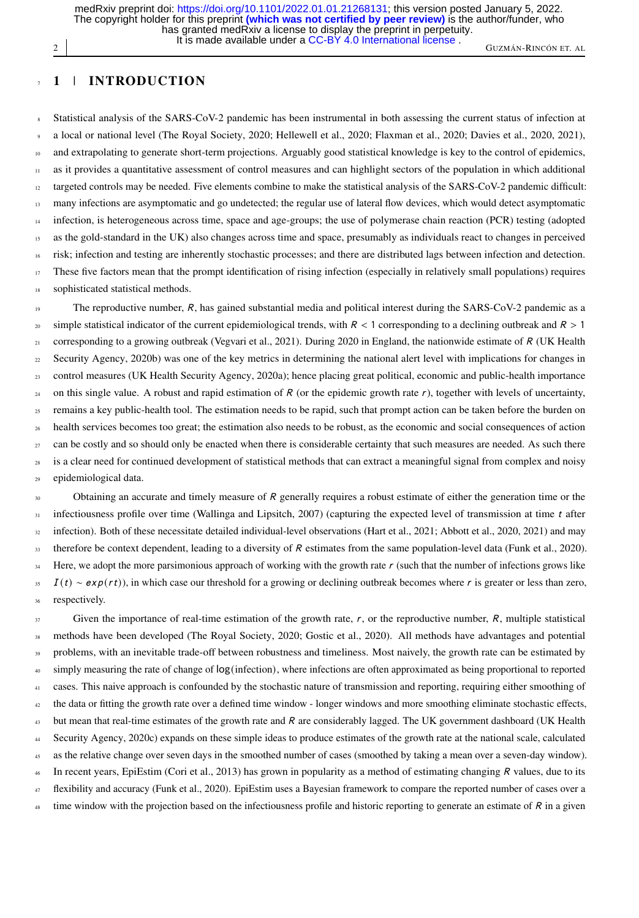2 GUZMÁN-RINCÓN ET. AL CONTRACTOR COMPANY AND THE CONTRACTOR CONTRACTOR CONTRACTOR CONTRACTOR CONTRACTOR CONTRACTOR CONTRACTOR CONTRACTOR CONTRACTOR CONTRACTOR CONTRACTOR CONTRACTOR CONTRACTOR CONTRACTOR CONTRACTOR CONTRAC It is made available under a [CC-BY 4.0 International license](http://creativecommons.org/licenses/by/4.0/) . has granted medRxiv a license to display the preprint in perpetuity. The copyright holder for this preprint **(which was not certified by peer review)** is the author/funder, who medRxiv preprint doi: [https://doi.org/10.1101/2022.01.01.21268131;](https://doi.org/10.1101/2022.01.01.21268131) this version posted January 5, 2022.

## <sup>7</sup> 1 | INTRODUCTION

<sup>8</sup> Statistical analysis of the SARS-CoV-2 pandemic has been instrumental in both assessing the current status of infection at <sup>9</sup> a local or national level [\(The Royal Society, 2020;](#page-15-0) [Hellewell et al., 2020;](#page-14-0) [Flaxman et al., 2020;](#page-14-1) [Davies et al., 2020,](#page-13-0) [2021\)](#page-14-2), 10 and extrapolating to generate short-term projections. Arguably good statistical knowledge is key to the control of epidemics, <sup>11</sup> as it provides a quantitative assessment of control measures and can highlight sectors of the population in which additional <sup>12</sup> targeted controls may be needed. Five elements combine to make the statistical analysis of the SARS-CoV-2 pandemic difficult: 13 many infections are asymptomatic and go undetected; the regular use of lateral flow devices, which would detect asymptomatic  $_{14}$  infection, is heterogeneous across time, space and age-groups; the use of polymerase chain reaction (PCR) testing (adopted <sup>15</sup> as the gold-standard in the UK) also changes across time and space, presumably as individuals react to changes in perceived <sup>16</sup> risk; infection and testing are inherently stochastic processes; and there are distributed lags between infection and detection. <sup>17</sup> These five factors mean that the prompt identification of rising infection (especially in relatively small populations) requires 18 sophisticated statistical methods.

The reproductive number, R, has gained substantial media and political interest during the SARS-CoV-2 pandemic as a <sup>20</sup> simple statistical indicator of the current epidemiological trends, with  $R < 1$  corresponding to a declining outbreak and  $R > 1$  corresponding to a growing outbreak (Vegvari et al., 2021). During 2020 in England, the [c](#page-15-2)orresponding to a growing outbreak [\(Vegvari et al., 2021\)](#page-15-1). During 2020 in England, the nationwide estimate of  $R$  [\(UK Health](#page-15-2)  $22$  [Security Agency, 2020b\)](#page-15-2) was one of the key metrics in determining the national alert level with implications for changes in <sup>23</sup> control measures [\(UK Health Security Agency, 2020a\)](#page-15-3); hence placing great political, economic and public-health importance <sup>24</sup> on this single value. A robust and rapid estimation of R (or the epidemic growth rate r), together with levels of uncertainty,  $25$  remains a key public-health tool. The estimation needs to be rapid, such that prompt action can be taken before the burden on <sup>26</sup> health services becomes too great; the estimation also needs to be robust, as the economic and social consequences of action  $27$  can be costly and so should only be enacted when there is considerable certainty that such measures are needed. As such there is a clear need for continued development of statistical methods that can extract a meaningful signal from complex and noisy <sup>29</sup> epidemiological data.

30 Obtaining an accurate and timely measure of R generally requires a robust estimate of either the generation time or the  $\frac{31}{21}$  infectiousness profile over time [\(Wallinga and Lipsitch, 2007\)](#page-15-4) (capturing the expected level of transmission at time t after <sup>32</sup> infection). Both of these necessitate detailed individual-level observations [\(Hart et al., 2021;](#page-14-3) [Abbott et al., 2020,](#page-13-1) [2021\)](#page-13-2) and may 33 therefore be context dependent, leading to a diversity of R estimates from the same population-level data [\(Funk et al., 2020\)](#page-14-4).  $34$  Here, we adopt the more parsimonious approach of working with the growth rate r (such that the number of infections grows like  $15$  I (t) ∼ exp(rt)), in which case our threshold for a growing or declining outbreak becomes where r is greater or less than zero, 36 respectively.

<sup>37</sup> Given the importance of real-time estimation of the growth rate, r, or the reproductive number, R, multiple statistical methods have been developed [\(The Royal Society, 2020;](#page-15-0) [Gostic et al., 2020\)](#page-14-5). All methods have advantages and potential problems, with an inevitable trade-off between robustness and timeliness. Most naively, the growth rate can be estimated by simply measuring the rate of change of  $log(infection)$ , where infections are often approximated as being proportional to reported <sup>41</sup> cases. This naive approach is confounded by the stochastic nature of transmission and reporting, requiring either smoothing of <sup>42</sup> the data or fitting the growth rate over a defined time window - longer windows and more smoothing eliminate stochastic effects, <sup>43</sup> [b](#page-15-5)ut mean that real-time estimates of the growth rate and R are considerably lagged. The UK government dashboard [\(UK Health](#page-15-5) <sup>44</sup> [Security Agency, 2020c\)](#page-15-5) expands on these simple ideas to produce estimates of the growth rate at the national scale, calculated as the relative change over seven days in the smoothed number of cases (smoothed by taking a mean over a seven-day window).  $46$  In recent years, EpiEstim [\(Cori et al., 2013\)](#page-13-3) has grown in popularity as a method of estimating changing R values, due to its <sup>47</sup> flexibility and accuracy [\(Funk et al., 2020\)](#page-14-4). EpiEstim uses a Bayesian framework to compare the reported number of cases over a time window with the projection based on the infectiousness profile and historic reporting to generate an estimate of  $R$  in a given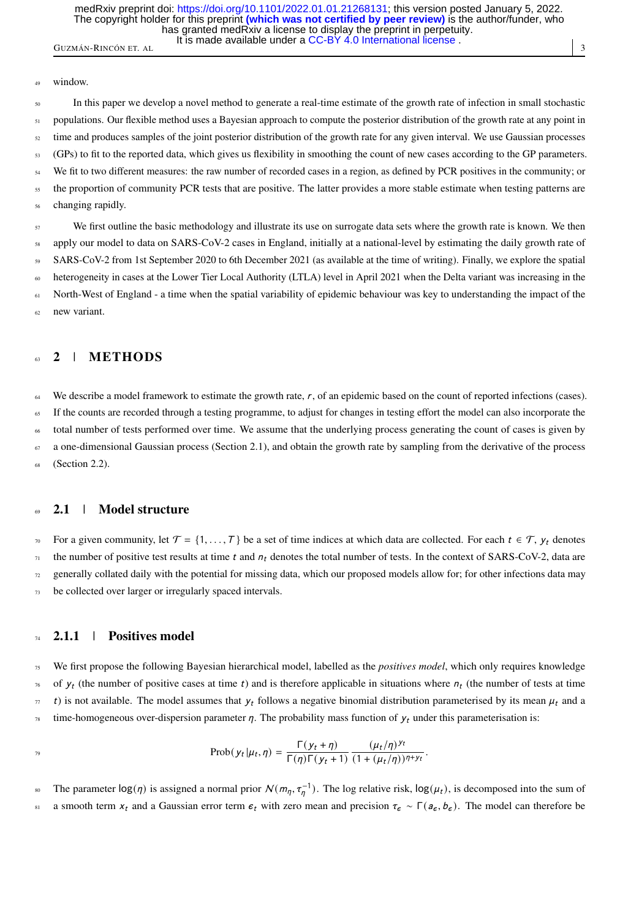GUZMÁN-RINCÓN ET. AL  $\left| \begin{array}{c} 3 \end{array} \right|$ It is made available under a [CC-BY 4.0 International license](http://creativecommons.org/licenses/by/4.0/) . has granted medRxiv a license to display the preprint in perpetuity. The copyright holder for this preprint **(which was not certified by peer review)** is the author/funder, who medRxiv preprint doi: [https://doi.org/10.1101/2022.01.01.21268131;](https://doi.org/10.1101/2022.01.01.21268131) this version posted January 5, 2022.

#### window.

<sup>50</sup> In this paper we develop a novel method to generate a real-time estimate of the growth rate of infection in small stochastic 51 populations. Our flexible method uses a Bayesian approach to compute the posterior distribution of the growth rate at any point in  $52$  time and produces samples of the joint posterior distribution of the growth rate for any given interval. We use Gaussian processes <sup>53</sup> (GPs) to fit to the reported data, which gives us flexibility in smoothing the count of new cases according to the GP parameters. <sup>54</sup> We fit to two different measures: the raw number of recorded cases in a region, as defined by PCR positives in the community; or the proportion of community PCR tests that are positive. The latter provides a more stable estimate when testing patterns are changing rapidly.

<sup>57</sup> We first outline the basic methodology and illustrate its use on surrogate data sets where the growth rate is known. We then apply our model to data on SARS-CoV-2 cases in England, initially at a national-level by estimating the daily growth rate of <sup>59</sup> SARS-CoV-2 from 1st September 2020 to 6th December 2021 (as available at the time of writing). Finally, we explore the spatial heterogeneity in cases at the Lower Tier Local Authority (LTLA) level in April 2021 when the Delta variant was increasing in the 61 North-West of England - a time when the spatial variability of epidemic behaviour was key to understanding the impact of the <sup>62</sup> new variant.

## 2 | METHODS

 $64$  We describe a model framework to estimate the growth rate, r, of an epidemic based on the count of reported infections (cases). <sup>65</sup> If the counts are recorded through a testing programme, to adjust for changes in testing effort the model can also incorporate the total number of tests performed over time. We assume that the underlying process generating the count of cases is given by  $\sigma$  a one-dimensional Gaussian process (Section [2.1\)](#page-2-0), and obtain the growth rate by sampling from the derivative of the process  $(Section 2.2)$  $(Section 2.2)$ .

# <span id="page-2-0"></span>2.1 | Model structure

*n* For a given community, let  $\mathcal{T} = \{1, ..., T\}$  be a set of time indices at which data are collected. For each  $t \in \mathcal{T}$ ,  $y_t$  denotes the number of positive test results at time  $t$  and  $n_t$  denotes the total number of the number of positive test results at time t and  $n_t$  denotes the total number of tests. In the context of SARS-CoV-2, data are  $\alpha$  generally collated daily with the potential for missing data, which our proposed models allow for; for other infections data may  $73$  be collected over larger or irregularly spaced intervals.

## <span id="page-2-1"></span> $74 \quad 2.1.1 \quad |$  Positives model

<sup>75</sup> We first propose the following Bayesian hierarchical model, labelled as the *positives model*, which only requires knowledge of  $y_t$  (the number of positive cases at time t) and is therefore applicable in situations where  $n_t$  (the number of tests at time  $\tau$  t) is not available. The model assumes that  $y_t$  follows a negative binomial distribution parameterised by its mean  $\mu_t$  and a time-homogeneous over-dispersion parameter  $\eta$ . The probability mass function of  $y_t$  under this parameterisation is:

$$
\text{Prob}(y_t|\mu_t,\eta) = \frac{\Gamma(y_t+\eta)}{\Gamma(\eta)\Gamma(y_t+1)} \frac{(\mu_t/\eta)^{y_t}}{(1+(\mu_t/\eta))^{\eta+y_t}}.
$$

s The parameter  $\log(\eta)$  is assigned a normal prior  $N(m_\eta, \tau_\eta^{-1})$ . The log relative risk,  $\log(\mu_t)$ , is decomposed into the sum of a smooth term  $x_t$  and a Gaussian error term  $\epsilon_t$  with zero mean and precision  $\tau_{\epsilon} \sim \Gamma(a_{\epsilon}, b_{\epsilon})$ . The model can therefore be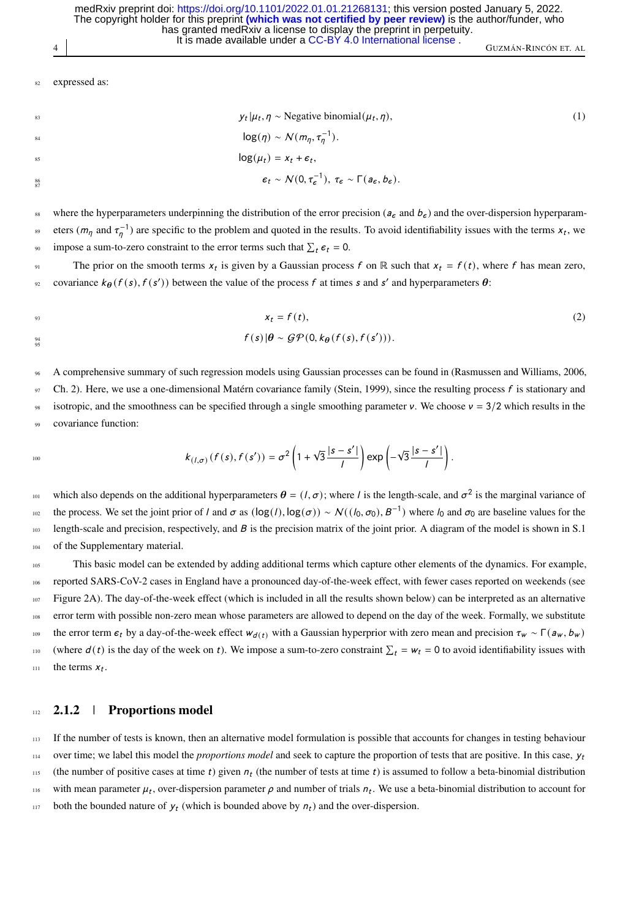4 GUZMÁN-RINCÓN ET. AL It is made available under a [CC-BY 4.0 International license](http://creativecommons.org/licenses/by/4.0/) . has granted medRxiv a license to display the preprint in perpetuity. The copyright holder for this preprint **(which was not certified by peer review)** is the author/funder, who medRxiv preprint doi: [https://doi.org/10.1101/2022.01.01.21268131;](https://doi.org/10.1101/2022.01.01.21268131) this version posted January 5, 2022.

expressed as:

$$
y_t | \mu_t, \eta \sim \text{Negative binomial}(\mu_t, \eta),
$$
  
\n
$$
\log(\eta) \sim \mathcal{N}(m_{\eta}, \tau_{\eta}^{-1}).
$$
  
\n
$$
\log(\mu_t) = x_t + \epsilon_t,
$$
  
\n
$$
\epsilon_t \sim \mathcal{N}(0, \tau_{\epsilon}^{-1}), \ \tau_{\epsilon} \sim \Gamma(a_{\epsilon}, b_{\epsilon}).
$$
  
\n(1)

where the hyperparameters underpinning the distribution of the error precision ( $a_{\epsilon}$  and  $b_{\epsilon}$ ) and the over-dispersion hyperparameters  $(m_{\eta}$  and  $\tau_{\eta}^{-1}$ ) are specific to the problem and quoted in the results. To avoid identifiability issues with the terms  $x_t$ , we <sup>90</sup> impose a sum-to-zero constraint to the error terms such that  $\sum_t \epsilon_t = 0$ .

The prior on the smooth terms  $x_t$  is given by a Gaussian process f on  $\mathbb R$  such that  $x_t = f(t)$ , where f has mean zero, <sup>92</sup> covariance  $k_{\theta}(f(s), f(s'))$  between the value of the process f at times s and s' and hyperparameters  $\theta$ :

 $x_t = f(t),$  (2)  $f(s) \left| \theta \sim \mathcal{GP}(0, k_{\theta}(f(s), f(s')) \right).$ 95

<sup>96</sup> A comprehensive summary of such regression models using Gaussian processes can be found in [\(Rasmussen and Williams, 2006,](#page-14-6) Ch. 2). Here, we use a one-dimensional Matérn covariance family [\(Stein, 1999\)](#page-15-6), since the resulting process  $f$  is stationary and isotropic, and the smoothness can be specified through a single smoothing parameter ν. We choose  $v = 3/2$  which results in the covariance function:

$$
k_{(I,\sigma)}(f(s),f(s')) = \sigma^2\left(1+\sqrt{3}\frac{|s-s'|}{I}\right)\exp\left(-\sqrt{3}\frac{|s-s'|}{I}\right).
$$

which also depends on the additional hyperparameters  $\theta = (l, \sigma)$ ; where l is the length-scale, and  $\sigma^2$  is the marginal variance of the process. We set the joint prior of l and σ as  $(\log(l), \log(\sigma)) \sim N((l_0, \sigma_0), B^{-1})$  where  $l_0$  and  $\sigma_0$  are baseline values for the  $_{103}$  length-scale and precision, respectively, and B is the precision matrix of the joint prior. A diagram of the model is shown in S.1 of the Supplementary material.

<sup>105</sup> This basic model can be extended by adding additional terms which capture other elements of the dynamics. For example, <sup>106</sup> reported SARS-CoV-2 cases in England have a pronounced day-of-the-week effect, with fewer cases reported on weekends (see <sup>107</sup> Figure [2A](#page-8-0)). The day-of-the-week effect (which is included in all the results shown below) can be interpreted as an alternative <sup>108</sup> error term with possible non-zero mean whose parameters are allowed to depend on the day of the week. Formally, we substitute 109 the error term  $\epsilon_t$  by a day-of-the-week effect  $w_{d(t)}$  with a Gaussian hyperprior with zero mean and precision  $\tau_w \sim \Gamma(a_w, b_w)$ <br>
(where  $d(t)$  is the day of the week on t). We impose a sum-to-zero constraint  $\sum_t = w_t =$ where  $d(t)$  is the day of the week on t). We impose a sum-to-zero constraint  $\sum_t = w_t = 0$  to avoid identifiability issues with  $\ln$  the terms  $x_t$ .

#### 112 **2.1.2** | Proportions model

<sup>113</sup> If the number of tests is known, then an alternative model formulation is possible that accounts for changes in testing behaviour over time; we label this model the *proportions model* and seek to capture the proportion of tests that are positive. In this case,  $y_t$ 114 115 (the number of positive cases at time t) given  $n_t$  (the number of tests at time t) is assumed to follow a beta-binomial distribution 116 with mean parameter  $\mu_t$ , over-dispersion parameter  $\rho$  and number of trials  $n_t$ . We use a beta-binomial distribution to account for 117 both the bounded nature of  $y_t$  (which is bounded above by  $n_t$ ) and the over-dispersion.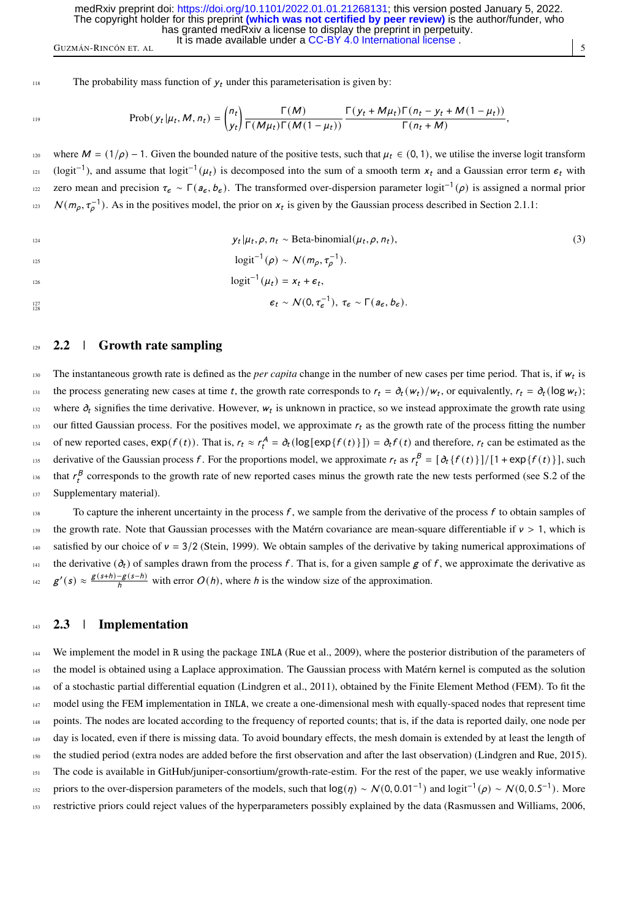118 The probability mass function of  $y_t$  under this parameterisation is given by:

$$
\text{Prob}(y_t|\mu_t, M, n_t) = {n_t \choose y_t} \frac{\Gamma(M)}{\Gamma(M\mu_t)\Gamma(M(1-\mu_t))} \frac{\Gamma(y_t + M\mu_t)\Gamma(n_t - y_t + M(1-\mu_t))}{\Gamma(n_t + M)},
$$

120 where  $M = (1/\rho) - 1$ . Given the bounded nature of the positive tests, such that  $\mu_t \in (0, 1)$ , we utilise the inverse logit transform  $_{121}$  (logit<sup>-1</sup>), and assume that logit<sup>-1</sup>(μ<sub>t</sub>) is decomposed into the sum of a smooth term x<sub>t</sub> and a Gaussian error term  $\varepsilon_t$  with zero mean and precision  $\tau_{\epsilon} \sim \Gamma(a_{\epsilon}, b_{\epsilon})$ . The transformed over-dispersion parameter logit<sup>-1</sup>(ρ) is assigned a normal prior  $N(m_\rho, \tau_\rho^{-1})$ . As in the positives model, the prior on  $x_t$  is given by the Gaussian process described in Section [2.1.1:](#page-2-1)

$$
y_t | \mu_t, \rho, n_t \sim \text{Beta-binomial}(\mu_t, \rho, n_t),
$$
  
\n
$$
\text{logit}^{-1}(\rho) \sim \mathcal{N}(m_\rho, \tau_\rho^{-1}).
$$
  
\n
$$
\text{logit}^{-1}(\mu_t) = x_t + \epsilon_t,
$$
  
\n
$$
\epsilon_t \sim \mathcal{N}(0, \tau_\epsilon^{-1}), \ \tau_\epsilon \sim \Gamma(a_\epsilon, b_\epsilon).
$$
  
\n(3)

## <span id="page-4-0"></span> $129$  2.2 | Growth rate sampling

The instantaneous growth rate is defined as the *per capita* change in the number of new cases per time period. That is, if  $w_t$  is the process generating new cases at time t, the growth rate corresponds to  $r_t = \partial_t(w_t)/w_t$ , or equivalently,  $r_t = \partial_t (\log w_t)$ ; where  $\partial_t$  signifies the time derivative. However,  $w_t$  is unknown in practice, so we instead approximate the growth rate using  $_{133}$  our fitted Gaussian process. For the positives model, we approximate  $r_t$  as the growth rate of the process fitting the number 134 of new reported cases,  $exp(f(t))$ . That is,  $r_t \approx r_t^A = \partial_t (log[exp{f(t)}]] = \partial_t f(t)$  and therefore,  $r_t$  can be estimated as the derivative of the Gaussian process f. For the proportions model, we approximate  $r_t$  as  $r_t^B = [\partial_t \{f(t)\}]/[1 + \exp\{f(t)\}]$ , such <sup>136</sup> that  $r_t^B$  corresponds to the growth rate of new reported cases minus the growth rate the new tests performed (see S.2 of the 137 Supplementary material).

 $138$  To capture the inherent uncertainty in the process f, we sample from the derivative of the process f to obtain samples of 139 the growth rate. Note that Gaussian processes with the Matérn covariance are mean-square differentiable if  $v > 1$ , which is satisfied by our choice of  $v = 3/2$  [\(Stein, 1999\)](#page-15-6). We obtain samples of the derivative by taking numerical approximations of  $141$  the derivative (∂t) of samples drawn from the process f. That is, for a given sample g of f, we approximate the derivative as  $g'(s) \approx \frac{g(s+h)-g(s-h)}{h}$  with error  $O(h)$ , where h is the window size of the approximation.

## <span id="page-4-1"></span>143 **2.3** | Implementation

144 We implement the model in R using the package INLA [\(Rue et al., 2009\)](#page-15-7), where the posterior distribution of the parameters of <sup>145</sup> the model is obtained using a Laplace approximation. The Gaussian process with Matérn kernel is computed as the solution <sup>146</sup> of a stochastic partial differential equation [\(Lindgren et al., 2011\)](#page-14-7), obtained by the Finite Element Method (FEM). To fit the <sup>147</sup> model using the FEM implementation in INLA, we create a one-dimensional mesh with equally-spaced nodes that represent time <sup>148</sup> points. The nodes are located according to the frequency of reported counts; that is, if the data is reported daily, one node per <sup>149</sup> day is located, even if there is missing data. To avoid boundary effects, the mesh domain is extended by at least the length of <sup>150</sup> the studied period (extra nodes are added before the first observation and after the last observation) [\(Lindgren and Rue, 2015\)](#page-14-8). <sup>151</sup> The code is available in [GitHub/juniper-consortium/growth-rate-estim.](https://github.com/juniper-consortium) For the rest of the paper, we use weakly informative priors to the over-dispersion parameters of the models, such that  $log(\eta) \sim N(0, 0.01^{-1})$  and  $logit^{-1}(\rho) \sim N(0, 0.5^{-1})$ . More <sup>153</sup> restrictive priors could reject values of the hyperparameters possibly explained by the data [\(Rasmussen and Williams, 2006,](#page-14-6)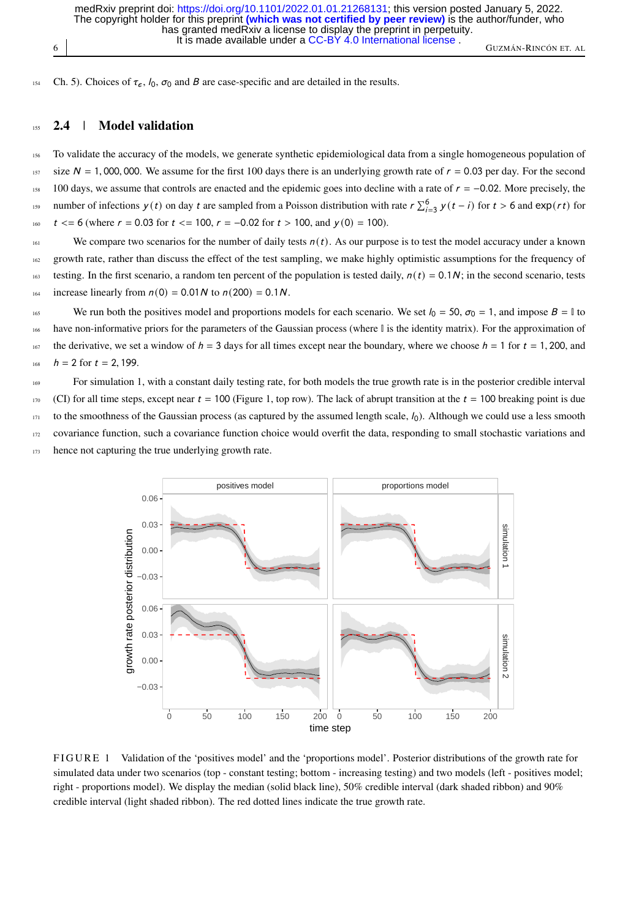6 GUZMÁN-RINCÓN ET. AL It is made available under a [CC-BY 4.0 International license](http://creativecommons.org/licenses/by/4.0/) . has granted medRxiv a license to display the preprint in perpetuity. The copyright holder for this preprint **(which was not certified by peer review)** is the author/funder, who medRxiv preprint doi: [https://doi.org/10.1101/2022.01.01.21268131;](https://doi.org/10.1101/2022.01.01.21268131) this version posted January 5, 2022.

154 Ch. 5). Choices of  $\tau_{\epsilon}$ ,  $l_0$ ,  $\sigma_0$  and B are case-specific and are detailed in the results.

#### <span id="page-5-1"></span>155 2.4 | Model validation

<sup>156</sup> To validate the accuracy of the models, we generate synthetic epidemiological data from a single homogeneous population of 157 size  $N = 1,000,000$ . We assume for the first 100 days there is an underlying growth rate of  $r = 0.03$  per day. For the second 158 100 days, we assume that controls are enacted and the epidemic goes into decline with a <sup>158</sup> 100 days, we assume that controls are enacted and the epidemic goes into decline with a rate of  $r = -0.02$ . More precisely, the number of infections  $v(t)$  on day t are sampled from a Poisson distribution with rate number of infections y (t) on day t are sampled from a Poisson distribution with rate  $r \sum_{i=3}^{6} y(t-i)$  for  $t > 6$  and  $\exp(rt)$  for 160  $t \leq 6$  (where  $r = 0.03$  for  $t \leq 100$ ,  $r = -0.02$  for  $t > 100$ , and  $y(0) = 100$ ).

<sup>161</sup> We compare two scenarios for the number of daily tests  $n(t)$ . As our purpose is to test the model accuracy under a known 162 growth rate, rather than discuss the effect of the test sampling, we make highly optimistic assumptions for the frequency of 163 testing. In the first scenario, a random ten percent of the population is tested daily,  $n(t) = 0.1N$ ; in the second scenario, tests 164 increase linearly from  $n(0) = 0.01N$  to  $n(200) = 0.1N$ .

165 We run both the positives model and proportions models for each scenario. We set  $l_0 = 50$ ,  $\sigma_0 = 1$ , and impose  $B = \mathbb{I}$  to have non-informative priors for the parameters of the Gaussian process (where  $\mathbb I$  is the identity matrix). For the approximation of <sup>167</sup> the derivative, we set a window of  $h = 3$  days for all times except near the boundary, where we choose  $h = 1$  for  $t = 1,200$ , and  $h = 2$  for  $t = 2, 199$ .

<sup>169</sup> For simulation 1, with a constant daily testing rate, for both models the true growth rate is in the posterior credible interval 170 (CI) for all time steps, except near  $t = 100$  (Figure [1,](#page-5-0) top row). The lack of abrupt transition at the  $t = 100$  breaking point is due  $171$  to the smoothness of the Gaussian process (as captured by the assumed length scale,  $l_0$ ). Although we could use a less smooth 172 covariance function, such a covariance function choice would overfit the data, responding to small stochastic variations and 173 hence not capturing the true underlying growth rate.

<span id="page-5-0"></span>

FIGURE 1 Validation of the 'positives model' and the 'proportions model'. Posterior distributions of the growth rate for simulated data under two scenarios (top - constant testing; bottom - increasing testing) and two models (left - positives model; right - proportions model). We display the median (solid black line), 50% credible interval (dark shaded ribbon) and 90% credible interval (light shaded ribbon). The red dotted lines indicate the true growth rate.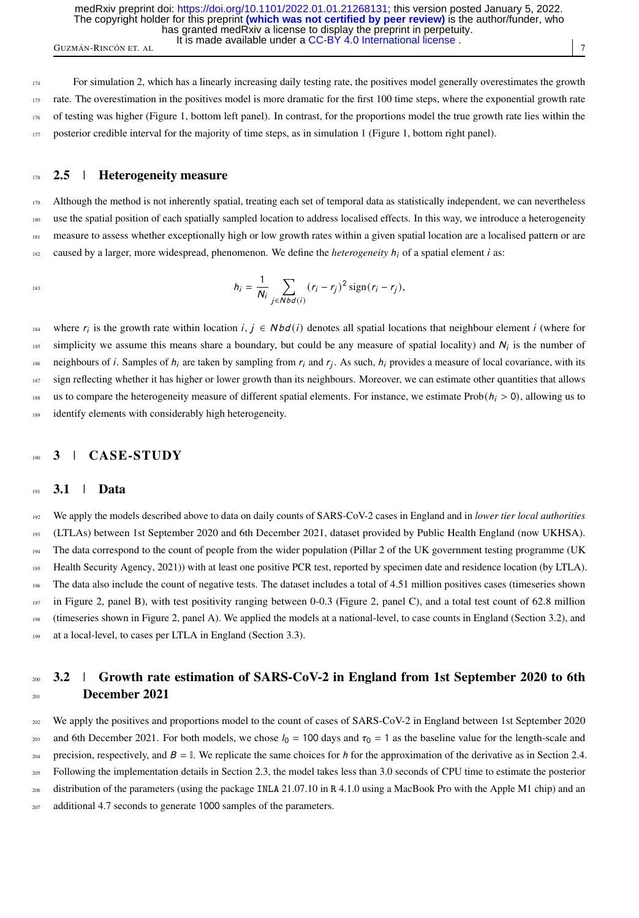GUZMÁN-RINCÓN ET. AL <sup>1</sup> it is made available under a CC-DT 4.0 international license. It is made available under a [CC-BY 4.0 International license](http://creativecommons.org/licenses/by/4.0/) . has granted medRxiv a license to display the preprint in perpetuity. The copyright holder for this preprint **(which was not certified by peer review)** is the author/funder, who medRxiv preprint doi: [https://doi.org/10.1101/2022.01.01.21268131;](https://doi.org/10.1101/2022.01.01.21268131) this version posted January 5, 2022.

 For simulation 2, which has a linearly increasing daily testing rate, the positives model generally overestimates the growth rate. The overestimation in the positives model is more dramatic for the first 100 time steps, where the exponential growth rate 176 of testing was higher (Figure [1,](#page-5-0) bottom left panel). In contrast, for the proportions model the true growth rate lies within the posterior credible interval for the majority of time steps, as in simulation 1 (Figure [1,](#page-5-0) bottom right panel).

#### 178 2.5 | Heterogeneity measure

<sup>179</sup> Although the method is not inherently spatial, treating each set of temporal data as statistically independent, we can nevertheless use the spatial position of each spatially sampled location to address localised effects. In this way, we introduce a heterogeneity <sup>181</sup> measure to assess whether exceptionally high or low growth rates within a given spatial location are a localised pattern or are  $182$  caused by a larger, more widespread, phenomenon. We define the *heterogeneity*  $h_i$  of a spatial element *i* as:

$$
h_i = \frac{1}{N_i} \sum_{j \in Nbd(i)} (r_i - r_j)^2 \operatorname{sign}(r_i - r_j),
$$

where  $r_i$  is the growth rate within location  $i, j \in Nbd(i)$  denotes all spatial locations that neighbour element i (where for  $\frac{1}{185}$  simplicity we assume this means share a boundary, but could be any measure of spatial locality) and  $N_i$  is the number of <sup>186</sup> neighbours of *i*. Samples of  $h_i$  are taken by sampling from  $r_i$  and  $r_j$ . As such,  $h_i$  provides a measure of local covariance, with its 187 sign reflecting whether it has higher or lower growth than its neighbours. Moreover, we can estimate other quantities that allows <sup>188</sup> us to compare the heterogeneity measure of different spatial elements. For instance, we estimate Prob( $h_i > 0$ ), allowing us to identify elements with considerably high heterogeneity identify elements with considerably high heterogeneity.

# 3 | CASE-STUDY

#### 191 **3.1** | **Data**

 We apply the models described above to data on daily counts of SARS-CoV-2 cases in England and in *lower tier local authorities* (LTLAs) between 1st September 2020 and 6th December 2021, dataset provided by Public Health England (now UKHSA). [T](#page-15-8)he data correspond to the count of people from the wider population (Pillar 2 of the UK government testing programme [\(UK](#page-15-8) [Health Security Agency, 2021\)](#page-15-8)) with at least one positive PCR test, reported by specimen date and residence location (by LTLA). The data also include the count of negative tests. The dataset includes a total of 4.51 million positives cases (timeseries shown in Figure [2,](#page-8-0) panel B), with test positivity ranging between 0-0.3 (Figure 2, panel C), and a total test count of 62.8 million (timeseries shown in Figure [2,](#page-8-0) panel A). We applied the models at a national-level, to case counts in England (Section [3.2\)](#page-6-0), and at a local-level, to cases per LTLA in England (Section [3.3\)](#page-7-0).

# <span id="page-6-0"></span>3.2 | Growth rate estimation of SARS-CoV-2 in England from 1st September 2020 to 6th <sup>201</sup> December 2021

<sup>202</sup> We apply the positives and proportions model to the count of cases of SARS-CoV-2 in England between 1st September 2020 203 and 6th December 2021. For both models, we chose  $l_0 = 100$  days and  $\tau_0 = 1$  as the baseline value for the length-scale and precision, respectively, and  $B = \mathbb{I}$ . We replicate the same choices for h for the approximation of the derivative as in Section [2.4.](#page-5-1) <sup>205</sup> Following the implementation details in Section [2.3,](#page-4-1) the model takes less than 3.0 seconds of CPU time to estimate the posterior <sup>206</sup> distribution of the parameters (using the package INLA 21.07.10 in R 4.1.0 using a MacBook Pro with the Apple M1 chip) and an <sup>207</sup> additional 4.7 seconds to generate 1000 samples of the parameters.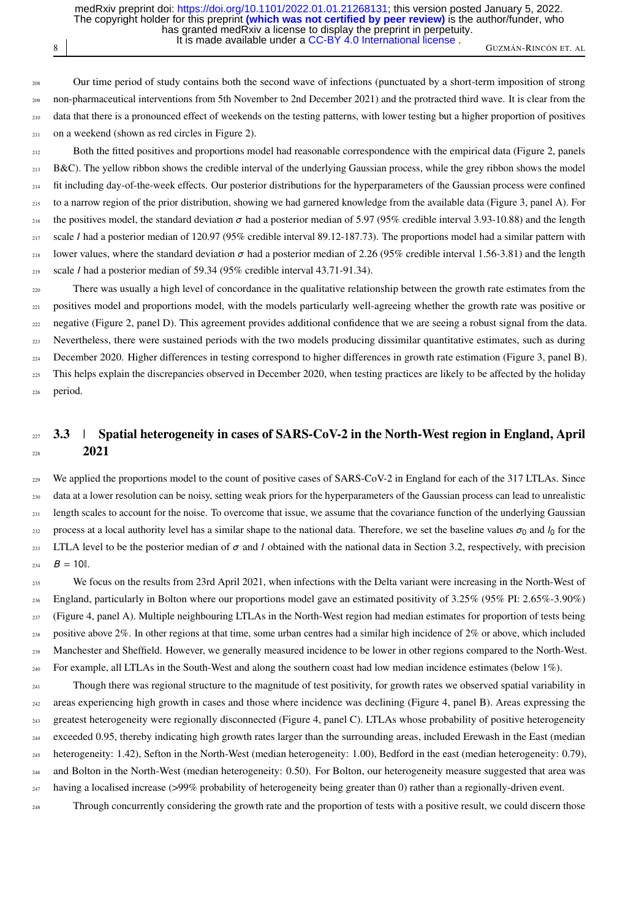8 GUZMÁN-RINCÓN ET. AL It is made available under a [CC-BY 4.0 International license](http://creativecommons.org/licenses/by/4.0/) . has granted medRxiv a license to display the preprint in perpetuity. The copyright holder for this preprint **(which was not certified by peer review)** is the author/funder, who medRxiv preprint doi: [https://doi.org/10.1101/2022.01.01.21268131;](https://doi.org/10.1101/2022.01.01.21268131) this version posted January 5, 2022.

 Our time period of study contains both the second wave of infections (punctuated by a short-term imposition of strong non-pharmaceutical interventions from 5th November to 2nd December 2021) and the protracted third wave. It is clear from the data that there is a pronounced effect of weekends on the testing patterns, with lower testing but a higher proportion of positives 211 on a weekend (shown as red circles in Figure [2\)](#page-8-0).

212 Both the fitted positives and proportions model had reasonable correspondence with the empirical data (Figure [2,](#page-8-0) panels 213 B&C). The yellow ribbon shows the credible interval of the underlying Gaussian process, while the grey ribbon shows the model  $_{214}$  fit including day-of-the-week effects. Our posterior distributions for the hyperparameters of the Gaussian process were confined <sup>215</sup> to a narrow region of the prior distribution, showing we had garnered knowledge from the available data (Figure [3,](#page-9-0) panel A). For 216 the positives model, the standard deviation  $\sigma$  had a posterior median of 5.97 (95% credible interval 3.93-10.88) and the length 217 scale *l* had a posterior median of 120.97 (95% credible interval 89.12-187.73). The proportions model had a similar pattern with 218 lower values, where the standard deviation  $\sigma$  had a posterior median of 2.26 (95% credible interval 1.56-3.81) and the length  $219$  scale *l* had a posterior median of 59.34 (95% credible interval 43.71-91.34).

<sub>220</sub> There was usually a high level of concordance in the qualitative relationship between the growth rate estimates from the <sup>221</sup> positives model and proportions model, with the models particularly well-agreeing whether the growth rate was positive or <sub>222</sub> negative (Figure [2,](#page-8-0) panel D). This agreement provides additional confidence that we are seeing a robust signal from the data. <sup>223</sup> Nevertheless, there were sustained periods with the two models producing dissimilar quantitative estimates, such as during <sup>224</sup> December 2020. Higher differences in testing correspond to higher differences in growth rate estimation (Figure [3,](#page-9-0) panel B). <sup>225</sup> This helps explain the discrepancies observed in December 2020, when testing practices are likely to be affected by the holiday <sup>226</sup> period.

# <span id="page-7-0"></span> $227$  3.3 | Spatial heterogeneity in cases of SARS-CoV-2 in the North-West region in England, April  $2021$

<sup>229</sup> We applied the proportions model to the count of positive cases of SARS-CoV-2 in England for each of the 317 LTLAs. Since <sup>230</sup> data at a lower resolution can be noisy, setting weak priors for the hyperparameters of the Gaussian process can lead to unrealistic <sub>231</sub> length scales to account for the noise. To overcome that issue, we assume that the covariance function of the underlying Gaussian process at a local authority level has a similar shape to the national data. Therefore, we set the baseline values  $\sigma_0$  and  $l_0$  for the 233 LTLA level to be the posterior median of  $\sigma$  and *l* obtained with the national data in Section [3.2,](#page-6-0) respectively, with precision  $234$   $B = 10$ [.]

235 We focus on the results from 23rd April 2021, when infections with the Delta variant were increasing in the North-West of 236 England, particularly in Bolton where our proportions model gave an estimated positivity of  $3.25\%$  (95% PI:  $2.65\%$ -3.90%) <sup>237</sup> (Figure [4,](#page-10-0) panel A). Multiple neighbouring LTLAs in the North-West region had median estimates for proportion of tests being 238 positive above 2%. In other regions at that time, some urban centres had a similar high incidence of  $2\%$  or above, which included 239 Manchester and Sheffield. However, we generally measured incidence to be lower in other regions compared to the North-West. <sup>240</sup> For example, all LTLAs in the South-West and along the southern coast had low median incidence estimates (below 1%).

<sup>241</sup> Though there was regional structure to the magnitude of test positivity, for growth rates we observed spatial variability in areas experiencing high growth in cases and those where incidence was declining (Figure [4,](#page-10-0) panel B). Areas expressing the greatest heterogeneity were regionally disconnected (Figure [4,](#page-10-0) panel C). LTLAs whose probability of positive heterogeneity exceeded 0.95, thereby indicating high growth rates larger than the surrounding areas, included Erewash in the East (median heterogeneity: 1.42), Sefton in the North-West (median heterogeneity: 1.00), Bedford in the east (median heterogeneity: 0.79), and Bolton in the North-West (median heterogeneity: 0.50). For Bolton, our heterogeneity measure suggested that area was having a localised increase (>99% probability of heterogeneity being greater than 0) rather than a regionally-driven event.

<sup>248</sup> Through concurrently considering the growth rate and the proportion of tests with a positive result, we could discern those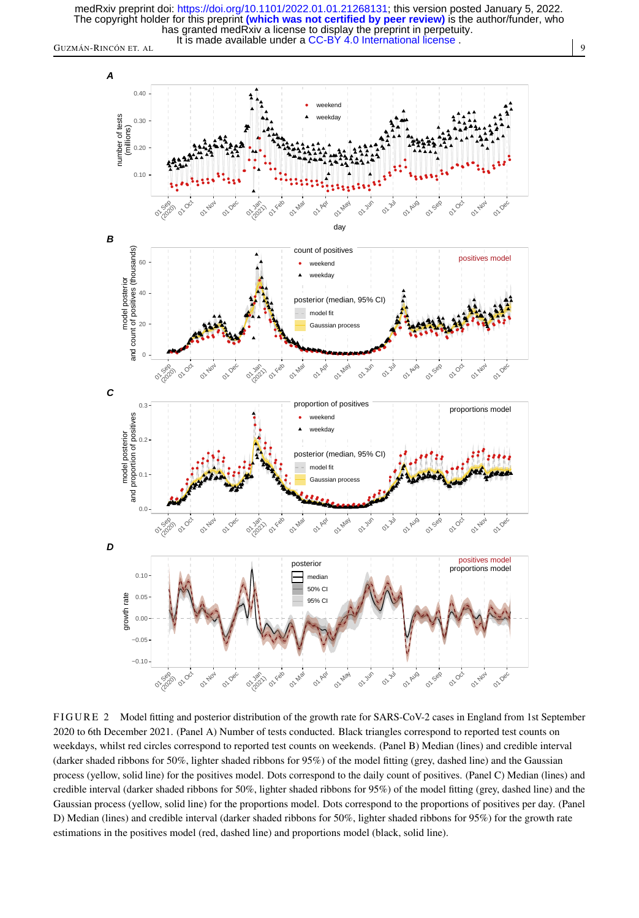

<span id="page-8-0"></span>



FIGURE 2 Model fitting and posterior distribution of the growth rate for SARS-CoV-2 cases in England from 1st September 2020 to 6th December 2021. (Panel A) Number of tests conducted. Black triangles correspond to reported test counts on weekdays, whilst red circles correspond to reported test counts on weekends. (Panel B) Median (lines) and credible interval (darker shaded ribbons for 50%, lighter shaded ribbons for 95%) of the model fitting (grey, dashed line) and the Gaussian process (yellow, solid line) for the positives model. Dots correspond to the daily count of positives. (Panel C) Median (lines) and credible interval (darker shaded ribbons for 50%, lighter shaded ribbons for 95%) of the model fitting (grey, dashed line) and the Gaussian process (yellow, solid line) for the proportions model. Dots correspond to the proportions of positives per day. (Panel D) Median (lines) and credible interval (darker shaded ribbons for 50%, lighter shaded ribbons for 95%) for the growth rate estimations in the positives model (red, dashed line) and proportions model (black, solid line).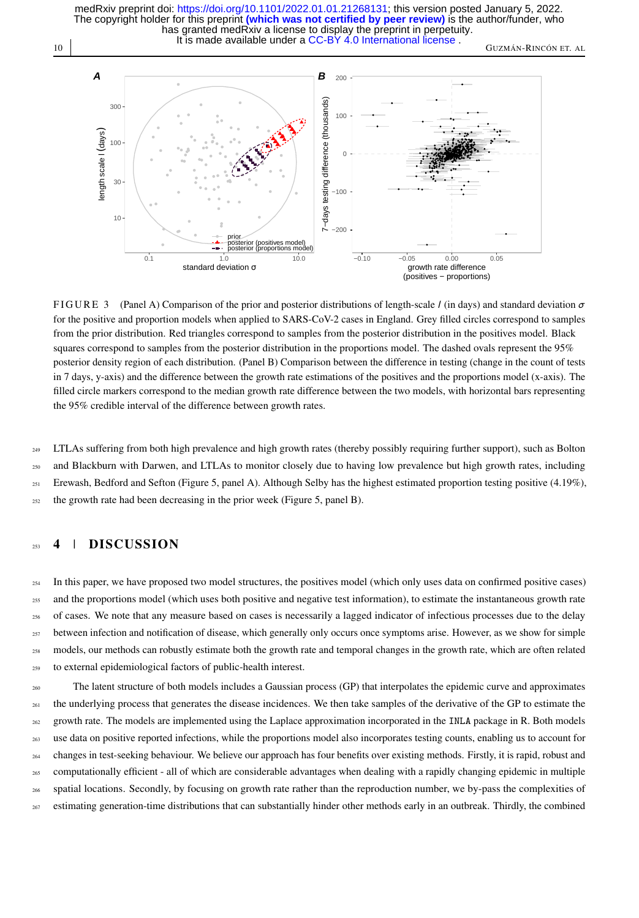10 GUZMÁN-RINCÓN ET. AL It is made available under a CC-BY 4.0 International license. has granted medRxiv a license to display the preprint in perpetuity. The copyright holder for this preprint **(which was not certified by peer review)** is the author/funder, who medRxiv preprint doi: [https://doi.org/10.1101/2022.01.01.21268131;](https://doi.org/10.1101/2022.01.01.21268131) this version posted January 5, 2022.

<span id="page-9-0"></span>

FIGURE 3 (Panel A) Comparison of the prior and posterior distributions of length-scale / (in days) and standard deviation  $\sigma$ for the positive and proportion models when applied to SARS-CoV-2 cases in England. Grey filled circles correspond to samples from the prior distribution. Red triangles correspond to samples from the posterior distribution in the positives model. Black squares correspond to samples from the posterior distribution in the proportions model. The dashed ovals represent the 95% posterior density region of each distribution. (Panel B) Comparison between the difference in testing (change in the count of tests in 7 days, y-axis) and the difference between the growth rate estimations of the positives and the proportions model (x-axis). The filled circle markers correspond to the median growth rate difference between the two models, with horizontal bars representing the 95% credible interval of the difference between growth rates.

 LTLAs suffering from both high prevalence and high growth rates (thereby possibly requiring further support), such as Bolton and Blackburn with Darwen, and LTLAs to monitor closely due to having low prevalence but high growth rates, including <sup>251</sup> Erewash, Bedford and Sefton (Figure [5,](#page-11-0) panel A). Although Selby has the highest estimated proportion testing positive (4.19%), the growth rate had been decreasing in the prior week (Figure [5,](#page-11-0) panel B).

#### $_{253}$  4 | DISCUSSION

<sup>254</sup> In this paper, we have proposed two model structures, the positives model (which only uses data on confirmed positive cases) and the proportions model (which uses both positive and negative test information), to estimate the instantaneous growth rate of cases. We note that any measure based on cases is necessarily a lagged indicator of infectious processes due to the delay <sup>257</sup> between infection and notification of disease, which generally only occurs once symptoms arise. However, as we show for simple models, our methods can robustly estimate both the growth rate and temporal changes in the growth rate, which are often related to external epidemiological factors of public-health interest.

 The latent structure of both models includes a Gaussian process (GP) that interpolates the epidemic curve and approximates <sup>261</sup> the underlying process that generates the disease incidences. We then take samples of the derivative of the GP to estimate the growth rate. The models are implemented using the Laplace approximation incorporated in the INLA package in R. Both models use data on positive reported infections, while the proportions model also incorporates testing counts, enabling us to account for changes in test-seeking behaviour. We believe our approach has four benefits over existing methods. Firstly, it is rapid, robust and computationally efficient - all of which are considerable advantages when dealing with a rapidly changing epidemic in multiple spatial locations. Secondly, by focusing on growth rate rather than the reproduction number, we by-pass the complexities of <sup>267</sup> estimating generation-time distributions that can substantially hinder other methods early in an outbreak. Thirdly, the combined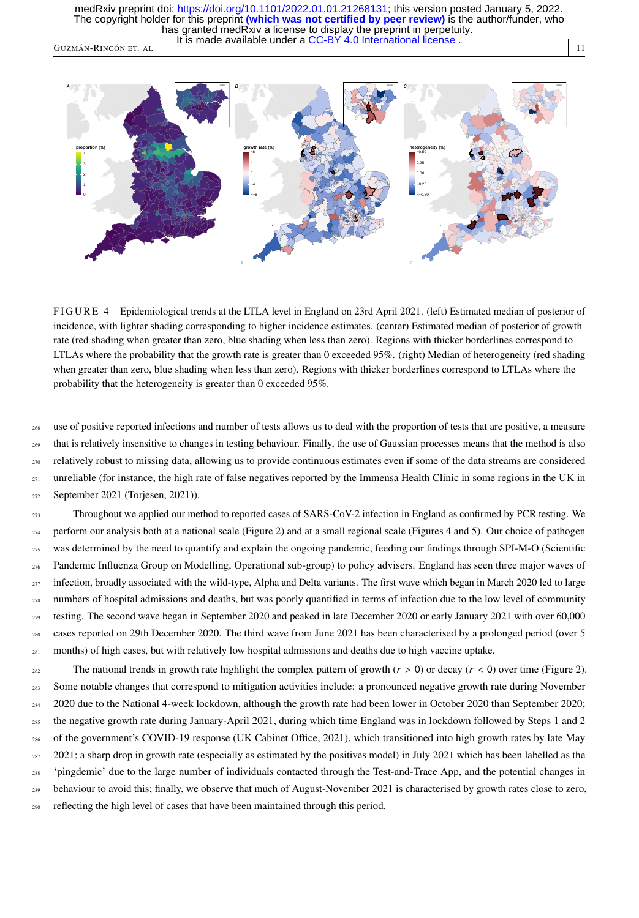GUZMÁN-RINCÓN ET. AL 11 It is made available under a [CC-BY 4.0 International license](http://creativecommons.org/licenses/by/4.0/) . has granted medRxiv a license to display the preprint in perpetuity. The copyright holder for this preprint **(which was not certified by peer review)** is the author/funder, who medRxiv preprint doi: [https://doi.org/10.1101/2022.01.01.21268131;](https://doi.org/10.1101/2022.01.01.21268131) this version posted January 5, 2022.

<span id="page-10-0"></span>

FIGURE 4 Epidemiological trends at the LTLA level in England on 23rd April 2021. (left) Estimated median of posterior of incidence, with lighter shading corresponding to higher incidence estimates. (center) Estimated median of posterior of growth rate (red shading when greater than zero, blue shading when less than zero). Regions with thicker borderlines correspond to LTLAs where the probability that the growth rate is greater than 0 exceeded 95%. (right) Median of heterogeneity (red shading when greater than zero, blue shading when less than zero). Regions with thicker borderlines correspond to LTLAs where the probability that the heterogeneity is greater than 0 exceeded 95%.

use of positive reported infections and number of tests allows us to deal with the proportion of tests that are positive, a measure <sup>269</sup> that is relatively insensitive to changes in testing behaviour. Finally, the use of Gaussian processes means that the method is also <sup>270</sup> relatively robust to missing data, allowing us to provide continuous estimates even if some of the data streams are considered <sup>271</sup> unreliable (for instance, the high rate of false negatives reported by the Immensa Health Clinic in some regions in the UK in <sup>272</sup> September 2021 [\(Torjesen, 2021\)](#page-15-9)).

 Throughout we applied our method to reported cases of SARS-CoV-2 infection in England as confirmed by PCR testing. We <sub>274</sub> perform our analysis both at a national scale (Figure [2\)](#page-8-0) and at a small regional scale (Figures [4](#page-10-0) and [5\)](#page-11-0). Our choice of pathogen was determined by the need to quantify and explain the ongoing pandemic, feeding our findings through SPI-M-O (Scientific Pandemic Influenza Group on Modelling, Operational sub-group) to policy advisers. England has seen three major waves of infection, broadly associated with the wild-type, Alpha and Delta variants. The first wave which began in March 2020 led to large numbers of hospital admissions and deaths, but was poorly quantified in terms of infection due to the low level of community testing. The second wave began in September 2020 and peaked in late December 2020 or early January 2021 with over 60,000 cases reported on 29th December 2020. The third wave from June 2021 has been characterised by a prolonged period (over 5 months) of high cases, but with relatively low hospital admissions and deaths due to high vaccine uptake.

282 The national trends in growth rate highlight the complex pattern of growth  $(r > 0)$  or decay  $(r < 0)$  over time (Figure [2\)](#page-8-0).<br>Some notable changes that correspond to mitigation activities include: a pronounced negative gr Some notable changes that correspond to mitigation activities include: a pronounced negative growth rate during November <sup>284</sup> 2020 due to the National 4-week lockdown, although the growth rate had been lower in October 2020 than September 2020; <sup>285</sup> the negative growth rate during January-April 2021, during which time England was in lockdown followed by Steps 1 and 2 <sup>286</sup> of the government's COVID-19 response [\(UK Cabinet Office, 2021\)](#page-15-10), which transitioned into high growth rates by late May  $287$  2021; a sharp drop in growth rate (especially as estimated by the positives model) in July 2021 which has been labelled as the <sup>288</sup> 'pingdemic' due to the large number of individuals contacted through the Test-and-Trace App, and the potential changes in <sub>289</sub> behaviour to avoid this; finally, we observe that much of August-November 2021 is characterised by growth rates close to zero, reflecting the high level of cases that have been maintained through this period.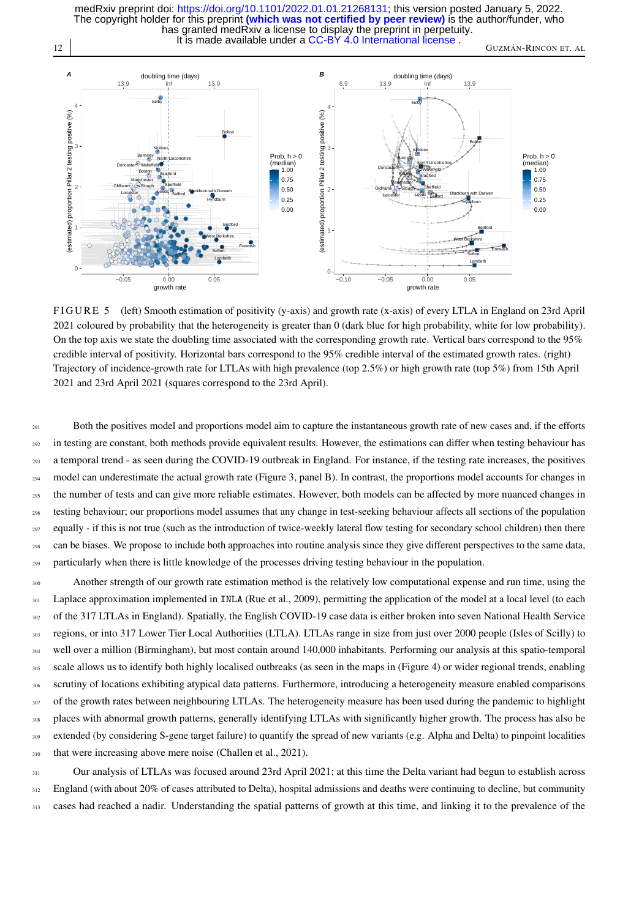12 GUZMÁN-RINCÓN ET. AL It is made available under a CC-BY 4.0 International license. has granted medRxiv a license to display the preprint in perpetuity. The copyright holder for this preprint **(which was not certified by peer review)** is the author/funder, who medRxiv preprint doi: [https://doi.org/10.1101/2022.01.01.21268131;](https://doi.org/10.1101/2022.01.01.21268131) this version posted January 5, 2022.

<span id="page-11-0"></span>

FIGURE 5 (left) Smooth estimation of positivity (y-axis) and growth rate (x-axis) of every LTLA in England on 23rd April 2021 coloured by probability that the heterogeneity is greater than 0 (dark blue for high probability, white for low probability). On the top axis we state the doubling time associated with the corresponding growth rate. Vertical bars correspond to the 95% credible interval of positivity. Horizontal bars correspond to the 95% credible interval of the estimated growth rates. (right) Trajectory of incidence-growth rate for LTLAs with high prevalence (top 2.5%) or high growth rate (top 5%) from 15th April 2021 and 23rd April 2021 (squares correspond to the 23rd April).

<sup>291</sup> Both the positives model and proportions model aim to capture the instantaneous growth rate of new cases and, if the efforts <sup>292</sup> in testing are constant, both methods provide equivalent results. However, the estimations can differ when testing behaviour has <sup>293</sup> a temporal trend - as seen during the COVID-19 outbreak in England. For instance, if the testing rate increases, the positives <sup>294</sup> model can underestimate the actual growth rate (Figure [3,](#page-9-0) panel B). In contrast, the proportions model accounts for changes in <sup>295</sup> the number of tests and can give more reliable estimates. However, both models can be affected by more nuanced changes in <sup>296</sup> testing behaviour; our proportions model assumes that any change in test-seeking behaviour affects all sections of the population <sup>297</sup> equally - if this is not true (such as the introduction of twice-weekly lateral flow testing for secondary school children) then there <sup>298</sup> can be biases. We propose to include both approaches into routine analysis since they give different perspectives to the same data, <sup>299</sup> particularly when there is little knowledge of the processes driving testing behaviour in the population.

300 Another strength of our growth rate estimation method is the relatively low computational expense and run time, using the <sup>301</sup> Laplace approximation implemented in INLA [\(Rue et al., 2009\)](#page-15-7), permitting the application of the model at a local level (to each of the 317 LTLAs in England). Spatially, the English COVID-19 case data is either broken into seven National Health Service regions, or into 317 Lower Tier Local Authorities (LTLA). LTLAs range in size from just over 2000 people (Isles of Scilly) to well over a million (Birmingham), but most contain around 140,000 inhabitants. Performing our analysis at this spatio-temporal scale allows us to identify both highly localised outbreaks (as seen in the maps in (Figure [4\)](#page-10-0) or wider regional trends, enabling scrutiny of locations exhibiting atypical data patterns. Furthermore, introducing a heterogeneity measure enabled comparisons <sup>307</sup> of the growth rates between neighbouring LTLAs. The heterogeneity measure has been used during the pandemic to highlight places with abnormal growth patterns, generally identifying LTLAs with significantly higher growth. The process has also be extended (by considering S-gene target failure) to quantify the spread of new variants (e.g. Alpha and Delta) to pinpoint localities that were increasing above mere noise [\(Challen et al., 2021\)](#page-13-4).

<sup>311</sup> Our analysis of LTLAs was focused around 23rd April 2021; at this time the Delta variant had begun to establish across  $312$  England (with about 20% of cases attributed to Delta), hospital admissions and deaths were continuing to decline, but community 313 cases had reached a nadir. Understanding the spatial patterns of growth at this time, and linking it to the prevalence of the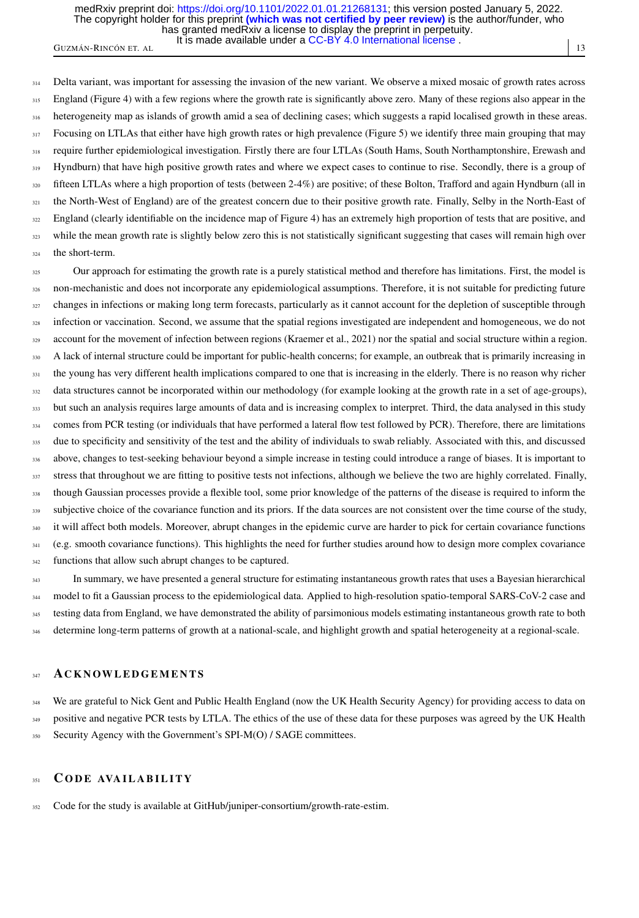It is made available under a CC-BY 4.0 International license. has granted medRxiv a license to display the preprint in perpetuity. The copyright holder for this preprint **(which was not certified by peer review)** is the author/funder, who medRxiv preprint doi: [https://doi.org/10.1101/2022.01.01.21268131;](https://doi.org/10.1101/2022.01.01.21268131) this version posted January 5, 2022.

GUZMÁN-RINCÓN ET. AL **11. International Marchandon Eta** 13

<sup>314</sup> Delta variant, was important for assessing the invasion of the new variant. We observe a mixed mosaic of growth rates across 315 England (Figure [4\)](#page-10-0) with a few regions where the growth rate is significantly above zero. Many of these regions also appear in the <sup>316</sup> heterogeneity map as islands of growth amid a sea of declining cases; which suggests a rapid localised growth in these areas. 317 Focusing on LTLAs that either have high growth rates or high prevalence (Figure [5\)](#page-11-0) we identify three main grouping that may <sup>318</sup> require further epidemiological investigation. Firstly there are four LTLAs (South Hams, South Northamptonshire, Erewash and <sup>319</sup> Hyndburn) that have high positive growth rates and where we expect cases to continue to rise. Secondly, there is a group of <sup>320</sup> fifteen LTLAs where a high proportion of tests (between 2-4%) are positive; of these Bolton, Trafford and again Hyndburn (all in <sup>321</sup> the North-West of England) are of the greatest concern due to their positive growth rate. Finally, Selby in the North-East of <sup>322</sup> England (clearly identifiable on the incidence map of Figure [4\)](#page-10-0) has an extremely high proportion of tests that are positive, and <sup>323</sup> while the mean growth rate is slightly below zero this is not statistically significant suggesting that cases will remain high over <sup>324</sup> the short-term.

<sup>325</sup> Our approach for estimating the growth rate is a purely statistical method and therefore has limitations. First, the model is <sup>326</sup> non-mechanistic and does not incorporate any epidemiological assumptions. Therefore, it is not suitable for predicting future  $327$  changes in infections or making long term forecasts, particularly as it cannot account for the depletion of susceptible through <sup>328</sup> infection or vaccination. Second, we assume that the spatial regions investigated are independent and homogeneous, we do not 329 account for the movement of infection between regions [\(Kraemer et al., 2021\)](#page-14-9) nor the spatial and social structure within a region. 330 A lack of internal structure could be important for public-health concerns; for example, an outbreak that is primarily increasing in <sup>331</sup> the young has very different health implications compared to one that is increasing in the elderly. There is no reason why richer 332 data structures cannot be incorporated within our methodology (for example looking at the growth rate in a set of age-groups), <sup>333</sup> but such an analysis requires large amounts of data and is increasing complex to interpret. Third, the data analysed in this study <sup>334</sup> comes from PCR testing (or individuals that have performed a lateral flow test followed by PCR). Therefore, there are limitations 335 due to specificity and sensitivity of the test and the ability of individuals to swab reliably. Associated with this, and discussed <sup>336</sup> above, changes to test-seeking behaviour beyond a simple increase in testing could introduce a range of biases. It is important to 337 stress that throughout we are fitting to positive tests not infections, although we believe the two are highly correlated. Finally, <sup>338</sup> though Gaussian processes provide a flexible tool, some prior knowledge of the patterns of the disease is required to inform the <sub>339</sub> subjective choice of the covariance function and its priors. If the data sources are not consistent over the time course of the study, <sup>340</sup> it will affect both models. Moreover, abrupt changes in the epidemic curve are harder to pick for certain covariance functions  $341$  (e.g. smooth covariance functions). This highlights the need for further studies around how to design more complex covariance <sup>342</sup> functions that allow such abrupt changes to be captured.

<sup>343</sup> In summary, we have presented a general structure for estimating instantaneous growth rates that uses a Bayesian hierarchical <sub>344</sub> model to fit a Gaussian process to the epidemiological data. Applied to high-resolution spatio-temporal SARS-CoV-2 case and 345 testing data from England, we have demonstrated the ability of parsimonious models estimating instantaneous growth rate to both <sup>346</sup> determine long-term patterns of growth at a national-scale, and highlight growth and spatial heterogeneity at a regional-scale.

#### 347 ACKNOWLEDGEMENTS

<sup>348</sup> We are grateful to Nick Gent and Public Health England (now the UK Health Security Agency) for providing access to data on positive and negative PCR tests by LTLA. The ethics of the use of these data for these purposes was agreed by the UK Health 350 Security Agency with the Government's SPI-M(O) / SAGE committees.

#### 351 CODE AVAILABILITY

<sup>352</sup> Code for the study is available at [GitHub/juniper-consortium/growth-rate-estim.](https://github.com/juniper-consortium)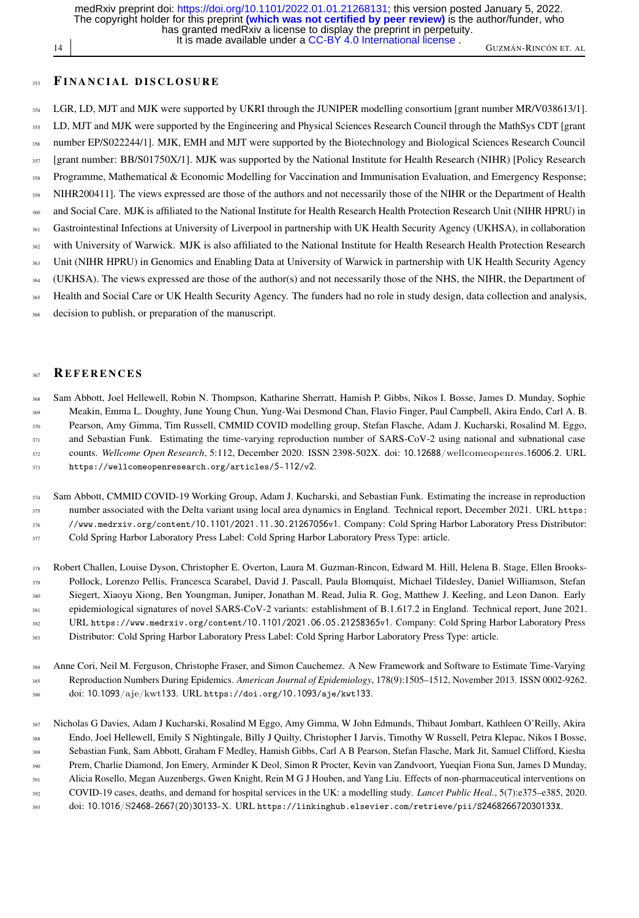has granted medRxiv a license to display the preprint in perpetuity. The copyright holder for this preprint **(which was not certified by peer review)** is the author/funder, who medRxiv preprint doi: [https://doi.org/10.1101/2022.01.01.21268131;](https://doi.org/10.1101/2022.01.01.21268131) this version posted January 5, 2022.

It is made available under a CC-BY 4.0 International license.

14 GUZMÁN-RINCÓN ET. AL

#### 353 FINANCIAL DISCLOSURE

<sup>354</sup> LGR, LD, MJT and MJK were supported by UKRI through the JUNIPER modelling consortium [grant number MR/V038613/1]. LD, MJT and MJK were supported by the Engineering and Physical Sciences Research Council through the MathSys CDT [grant number EP/S022244/1]. MJK, EMH and MJT were supported by the Biotechnology and Biological Sciences Research Council 357 [grant number: BB/S01750X/1]. MJK was supported by the National Institute for Health Research (NIHR) [Policy Research 358 Programme, Mathematical & Economic Modelling for Vaccination and Immunisation Evaluation, and Emergency Response; <sup>359</sup> NIHR200411]. The views expressed are those of the authors and not necessarily those of the NIHR or the Department of Health and Social Care. MJK is affiliated to the National Institute for Health Research Health Protection Research Unit (NIHR HPRU) in Gastrointestinal Infections at University of Liverpool in partnership with UK Health Security Agency (UKHSA), in collaboration 362 with University of Warwick. MJK is also affiliated to the National Institute for Health Research Health Protection Research Unit (NIHR HPRU) in Genomics and Enabling Data at University of Warwick in partnership with UK Health Security Agency (UKHSA). The views expressed are those of the author(s) and not necessarily those of the NHS, the NIHR, the Department of Health and Social Care or UK Health Security Agency. The funders had no role in study design, data collection and analysis, decision to publish, or preparation of the manuscript.

#### 367 REFERENCES

<span id="page-13-1"></span> Sam Abbott, Joel Hellewell, Robin N. Thompson, Katharine Sherratt, Hamish P. Gibbs, Nikos I. Bosse, James D. Munday, Sophie Meakin, Emma L. Doughty, June Young Chun, Yung-Wai Desmond Chan, Flavio Finger, Paul Campbell, Akira Endo, Carl A. B. Pearson, Amy Gimma, Tim Russell, CMMID COVID modelling group, Stefan Flasche, Adam J. Kucharski, Rosalind M. Eggo, 371 and Sebastian Funk. Estimating the time-varying reproduction number of SARS-CoV-2 using national and subnational case counts. *Wellcome Open Research*, 5:112, December 2020. ISSN 2398-502X. doi: 10.12688/wellcomeopenres.16006.2. URL [https://wellcomeopenresearch.org/articles/](https://wellcomeopenresearch.org/articles/5-112/v2)5-112/v2.

<span id="page-13-2"></span> Sam Abbott, CMMID COVID-19 Working Group, Adam J. Kucharski, and Sebastian Funk. Estimating the increase in reproduction number associated with the Delta variant using local area dynamics in England. Technical report, December 2021. URL [https:](https://www.medrxiv.org/content/10.1101/2021.11.30.21267056v1) [//www.medrxiv.org/content/](https://www.medrxiv.org/content/10.1101/2021.11.30.21267056v1)10.1101/2021.11.30.21267056v1. Company: Cold Spring Harbor Laboratory Press Distributor: Cold Spring Harbor Laboratory Press Label: Cold Spring Harbor Laboratory Press Type: article.

<span id="page-13-4"></span> Robert Challen, Louise Dyson, Christopher E. Overton, Laura M. Guzman-Rincon, Edward M. Hill, Helena B. Stage, Ellen Brooks- Pollock, Lorenzo Pellis, Francesca Scarabel, David J. Pascall, Paula Blomquist, Michael Tildesley, Daniel Williamson, Stefan Siegert, Xiaoyu Xiong, Ben Youngman, Juniper, Jonathan M. Read, Julia R. Gog, Matthew J. Keeling, and Leon Danon. Early epidemiological signatures of novel SARS-CoV-2 variants: establishment of B.1.617.2 in England. Technical report, June 2021. URL [https://www.medrxiv.org/content/](https://www.medrxiv.org/content/10.1101/2021.06.05.21258365v1)10.1101/2021.06.05.21258365v1. Company: Cold Spring Harbor Laboratory Press Distributor: Cold Spring Harbor Laboratory Press Label: Cold Spring Harbor Laboratory Press Type: article.

<span id="page-13-3"></span> Anne Cori, Neil M. Ferguson, Christophe Fraser, and Simon Cauchemez. A New Framework and Software to Estimate Time-Varying Reproduction Numbers During Epidemics. *American Journal of Epidemiology*, 178(9):1505–1512, November 2013. ISSN 0002-9262. doi: 10.1093/aje/kwt133. URL [https://doi.org/](https://doi.org/10.1093/aje/kwt133)10.1093/aje/kwt133.

<span id="page-13-0"></span> Nicholas G Davies, Adam J Kucharski, Rosalind M Eggo, Amy Gimma, W John Edmunds, Thibaut Jombart, Kathleen O'Reilly, Akira Endo, Joel Hellewell, Emily S Nightingale, Billy J Quilty, Christopher I Jarvis, Timothy W Russell, Petra Klepac, Nikos I Bosse, Sebastian Funk, Sam Abbott, Graham F Medley, Hamish Gibbs, Carl A B Pearson, Stefan Flasche, Mark Jit, Samuel Clifford, Kiesha Prem, Charlie Diamond, Jon Emery, Arminder K Deol, Simon R Procter, Kevin van Zandvoort, Yueqian Fiona Sun, James D Munday, Alicia Rosello, Megan Auzenbergs, Gwen Knight, Rein M G J Houben, and Yang Liu. Effects of non-pharmaceutical interventions on COVID-19 cases, deaths, and demand for hospital services in the UK: a modelling study. *Lancet Public Heal.*, 5(7):e375–e385, 2020.

doi: 10.1016/S2468-2667(20)30133-X. URL [https://linkinghub.elsevier.com/retrieve/pii/S](https://linkinghub.elsevier.com/retrieve/pii/S246826672030133X)246826672030133X.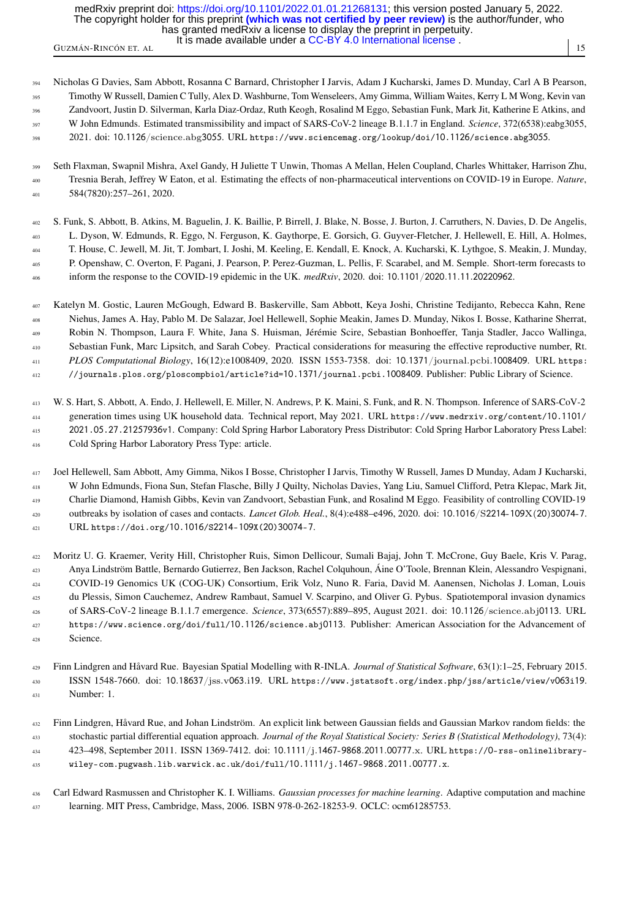It is made available under a CC-BY 4.0 International license. has granted medRxiv a license to display the preprint in perpetuity. The copyright holder for this preprint **(which was not certified by peer review)** is the author/funder, who medRxiv preprint doi: [https://doi.org/10.1101/2022.01.01.21268131;](https://doi.org/10.1101/2022.01.01.21268131) this version posted January 5, 2022.

GUZMÁN-RINCÓN ET. AL 15 INCLOSURADO CHEGO E DE 1.15 INCLINIONAL RODIO 1.

<span id="page-14-2"></span> Nicholas G Davies, Sam Abbott, Rosanna C Barnard, Christopher I Jarvis, Adam J Kucharski, James D. Munday, Carl A B Pearson, Timothy W Russell, Damien C Tully, Alex D. Washburne, Tom Wenseleers, Amy Gimma, William Waites, Kerry L M Wong, Kevin van Zandvoort, Justin D. Silverman, Karla Diaz-Ordaz, Ruth Keogh, Rosalind M Eggo, Sebastian Funk, Mark Jit, Katherine E Atkins, and

W John Edmunds. Estimated transmissibility and impact of SARS-CoV-2 lineage B.1.1.7 in England. *Science*, 372(6538):eabg3055,

2021. doi: 10.1126/science.abg3055. URL [https://www.sciencemag.org/lookup/doi/](https://www.sciencemag.org/lookup/doi/10.1126/science.abg3055)10.1126/science.abg3055.

- <span id="page-14-1"></span> Seth Flaxman, Swapnil Mishra, Axel Gandy, H Juliette T Unwin, Thomas A Mellan, Helen Coupland, Charles Whittaker, Harrison Zhu, Tresnia Berah, Jeffrey W Eaton, et al. Estimating the effects of non-pharmaceutical interventions on COVID-19 in Europe. *Nature*, 584(7820):257–261, 2020.
- <span id="page-14-4"></span> S. Funk, S. Abbott, B. Atkins, M. Baguelin, J. K. Baillie, P. Birrell, J. Blake, N. Bosse, J. Burton, J. Carruthers, N. Davies, D. De Angelis, L. Dyson, W. Edmunds, R. Eggo, N. Ferguson, K. Gaythorpe, E. Gorsich, G. Guyver-Fletcher, J. Hellewell, E. Hill, A. Holmes, T. House, C. Jewell, M. Jit, T. Jombart, I. Joshi, M. Keeling, E. Kendall, E. Knock, A. Kucharski, K. Lythgoe, S. Meakin, J. Munday, P. Openshaw, C. Overton, F. Pagani, J. Pearson, P. Perez-Guzman, L. Pellis, F. Scarabel, and M. Semple. Short-term forecasts to inform the response to the COVID-19 epidemic in the UK. *medRxiv*, 2020. doi: 10.1101/2020.11.11.20220962.
- <span id="page-14-5"></span> Katelyn M. Gostic, Lauren McGough, Edward B. Baskerville, Sam Abbott, Keya Joshi, Christine Tedijanto, Rebecca Kahn, Rene Niehus, James A. Hay, Pablo M. De Salazar, Joel Hellewell, Sophie Meakin, James D. Munday, Nikos I. Bosse, Katharine Sherrat, Robin N. Thompson, Laura F. White, Jana S. Huisman, Jérémie Scire, Sebastian Bonhoeffer, Tanja Stadler, Jacco Wallinga, Sebastian Funk, Marc Lipsitch, and Sarah Cobey. Practical considerations for measuring the effective reproductive number, Rt. *PLOS Computational Biology*, 16(12):e1008409, 2020. ISSN 1553-7358. doi: 10.1371/journal.pcbi.1008409. URL [https:](https://journals.plos.org/ploscompbiol/article?id=10.1371/journal.pcbi.1008409) [//journals.plos.org/ploscompbiol/article?id=](https://journals.plos.org/ploscompbiol/article?id=10.1371/journal.pcbi.1008409)10.1371/journal.pcbi.1008409. Publisher: Public Library of Science.
- <span id="page-14-3"></span> W. S. Hart, S. Abbott, A. Endo, J. Hellewell, E. Miller, N. Andrews, P. K. Maini, S. Funk, and R. N. Thompson. Inference of SARS-CoV-2 generation times using UK household data. Technical report, May 2021. URL [https://www.medrxiv.org/content/](https://www.medrxiv.org/content/10.1101/2021.05.27.21257936v1)10.1101/ 2021.05.27.[21257936](https://www.medrxiv.org/content/10.1101/2021.05.27.21257936v1)v1. Company: Cold Spring Harbor Laboratory Press Distributor: Cold Spring Harbor Laboratory Press Label: Cold Spring Harbor Laboratory Press Type: article.
- <span id="page-14-0"></span> Joel Hellewell, Sam Abbott, Amy Gimma, Nikos I Bosse, Christopher I Jarvis, Timothy W Russell, James D Munday, Adam J Kucharski, W John Edmunds, Fiona Sun, Stefan Flasche, Billy J Quilty, Nicholas Davies, Yang Liu, Samuel Clifford, Petra Klepac, Mark Jit, Charlie Diamond, Hamish Gibbs, Kevin van Zandvoort, Sebastian Funk, and Rosalind M Eggo. Feasibility of controlling COVID-19 outbreaks by isolation of cases and contacts. *Lancet Glob. Heal.*, 8(4):e488–e496, 2020. doi: 10.1016/S2214-109X(20)30074-7. URL [https://doi.org/](https://doi.org/10.1016/S2214-109X(20)30074-7)10.1016/S2214-109X(20)30074-7.
- <span id="page-14-9"></span> Moritz U. G. Kraemer, Verity Hill, Christopher Ruis, Simon Dellicour, Sumali Bajaj, John T. McCrone, Guy Baele, Kris V. Parag, Anya Lindström Battle, Bernardo Gutierrez, Ben Jackson, Rachel Colquhoun, Áine O'Toole, Brennan Klein, Alessandro Vespignani, COVID-19 Genomics UK (COG-UK) Consortium, Erik Volz, Nuno R. Faria, David M. Aanensen, Nicholas J. Loman, Louis du Plessis, Simon Cauchemez, Andrew Rambaut, Samuel V. Scarpino, and Oliver G. Pybus. Spatiotemporal invasion dynamics of SARS-CoV-2 lineage B.1.1.7 emergence. *Science*, 373(6557):889–895, August 2021. doi: 10.1126/science.abj0113. URL [https://www.science.org/doi/full/](https://www.science.org/doi/full/10.1126/science.abj0113)10.1126/science.abj0113. Publisher: American Association for the Advancement of Science.
- <span id="page-14-8"></span> Finn Lindgren and Håvard Rue. Bayesian Spatial Modelling with R-INLA. *Journal of Statistical Software*, 63(1):1–25, February 2015. ISSN 1548-7660. doi: 10.18637/jss.v063.i19. URL [https://www.jstatsoft.org/index.php/jss/article/view/v](https://www.jstatsoft.org/index.php/jss/article/view/v063i19)063i19. Number: 1.
- <span id="page-14-7"></span> Finn Lindgren, Håvard Rue, and Johan Lindström. An explicit link between Gaussian fields and Gaussian Markov random fields: the stochastic partial differential equation approach. *Journal of the Royal Statistical Society: Series B (Statistical Methodology)*, 73(4): 423–498, September 2011. ISSN 1369-7412. doi: 10.1111/j.1467-9868.2011.00777.x. URL https://0[-rss-onlinelibrary-](https://0-rss-onlinelibrary-wiley-com.pugwash.lib.warwick.ac.uk/doi/full/10.1111/j.1467-9868.2011.00777.x)[wiley-com.pugwash.lib.warwick.ac.uk/doi/full/](https://0-rss-onlinelibrary-wiley-com.pugwash.lib.warwick.ac.uk/doi/full/10.1111/j.1467-9868.2011.00777.x)10.1111/j.1467-9868.2011.00777.x.
- 
- <span id="page-14-6"></span> Carl Edward Rasmussen and Christopher K. I. Williams. *Gaussian processes for machine learning*. Adaptive computation and machine learning. MIT Press, Cambridge, Mass, 2006. ISBN 978-0-262-18253-9. OCLC: ocm61285753.